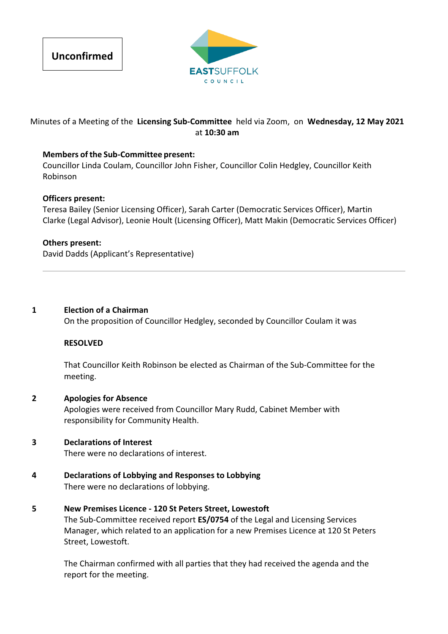



# Minutes of a Meeting of the **Licensing Sub‐Committee** held via Zoom, on **Wednesday, 12 May 2021** at **10:30 am**

## **Members of the Sub‐Committee present:**

Councillor Linda Coulam, Councillor John Fisher, Councillor Colin Hedgley, Councillor Keith Robinson

#### **Officers present:**

Teresa Bailey (Senior Licensing Officer), Sarah Carter (Democratic Services Officer), Martin Clarke (Legal Advisor), Leonie Hoult (Licensing Officer), Matt Makin (Democratic Services Officer)

### **Others present:**

David Dadds (Applicant's Representative)

### **1 Election of a Chairman**

On the proposition of Councillor Hedgley, seconded by Councillor Coulam it was

#### **RESOLVED**

That Councillor Keith Robinson be elected as Chairman of the Sub‐Committee for the meeting.

## **2 Apologies for Absence** Apologies were received from Councillor Mary Rudd, Cabinet Member with responsibility for Community Health.

## **3 Declarations of Interest**

There were no declarations of interest.

**4 Declarations of Lobbying and Responses to Lobbying** There were no declarations of lobbying.

## **5 New Premises Licence ‐ 120 St Peters Street, Lowestoft**

The Sub‐Committee received report **ES/0754** of the Legal and Licensing Services Manager, which related to an application for a new Premises Licence at 120 St Peters Street, Lowestoft.

The Chairman confirmed with all parties that they had received the agenda and the report for the meeting.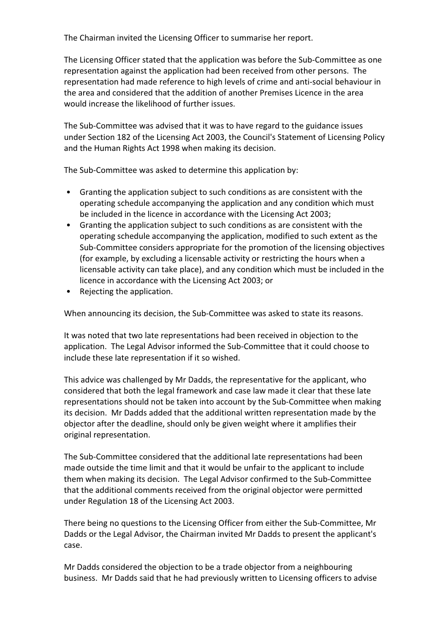The Chairman invited the Licensing Officer to summarise her report.

The Licensing Officer stated that the application was before the Sub‐Committee as one representation against the application had been received from other persons. The representation had made reference to high levels of crime and anti‐social behaviour in the area and considered that the addition of another Premises Licence in the area would increase the likelihood of further issues.

The Sub‐Committee was advised that it was to have regard to the guidance issues under Section 182 of the Licensing Act 2003, the Council's Statement of Licensing Policy and the Human Rights Act 1998 when making its decision.

The Sub‐Committee was asked to determine this application by:

- Granting the application subject to such conditions as are consistent with the operating schedule accompanying the application and any condition which must be included in the licence in accordance with the Licensing Act 2003;
- Granting the application subject to such conditions as are consistent with the operating schedule accompanying the application, modified to such extent as the Sub‐Committee considers appropriate for the promotion of the licensing objectives (for example, by excluding a licensable activity or restricting the hours when a licensable activity can take place), and any condition which must be included in the licence in accordance with the Licensing Act 2003; or
- Rejecting the application.

When announcing its decision, the Sub‐Committee was asked to state its reasons.

It was noted that two late representations had been received in objection to the application. The Legal Advisor informed the Sub‐Committee that it could choose to include these late representation if it so wished.

This advice was challenged by Mr Dadds, the representative for the applicant, who considered that both the legal framework and case law made it clear that these late representations should not be taken into account by the Sub‐Committee when making its decision. Mr Dadds added that the additional written representation made by the objector after the deadline, should only be given weight where it amplifies their original representation.

The Sub‐Committee considered that the additional late representations had been made outside the time limit and that it would be unfair to the applicant to include them when making its decision. The Legal Advisor confirmed to the Sub‐Committee that the additional comments received from the original objector were permitted under Regulation 18 of the Licensing Act 2003.

There being no questions to the Licensing Officer from either the Sub‐Committee, Mr Dadds or the Legal Advisor, the Chairman invited Mr Dadds to present the applicant's case.

Mr Dadds considered the objection to be a trade objector from a neighbouring business. Mr Dadds said that he had previously written to Licensing officers to advise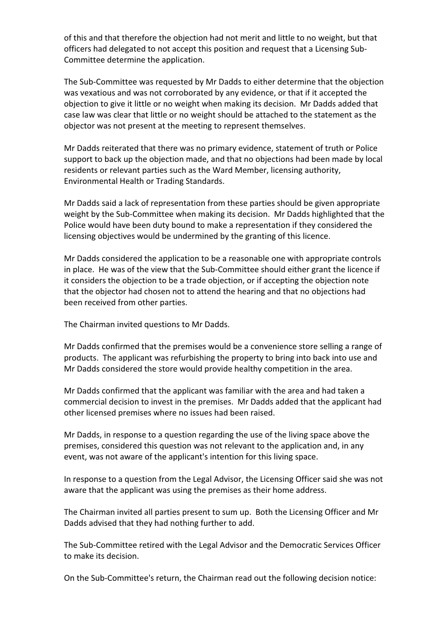of this and that therefore the objection had not merit and little to no weight, but that officers had delegated to not accept this position and request that a Licensing Sub‐ Committee determine the application.

The Sub‐Committee was requested by Mr Dadds to either determine that the objection was vexatious and was not corroborated by any evidence, or that if it accepted the objection to give it little or no weight when making its decision. Mr Dadds added that case law was clear that little or no weight should be attached to the statement as the objector was not present at the meeting to represent themselves.

Mr Dadds reiterated that there was no primary evidence, statement of truth or Police support to back up the objection made, and that no objections had been made by local residents or relevant parties such as the Ward Member, licensing authority, Environmental Health or Trading Standards.

Mr Dadds said a lack of representation from these parties should be given appropriate weight by the Sub-Committee when making its decision. Mr Dadds highlighted that the Police would have been duty bound to make a representation if they considered the licensing objectives would be undermined by the granting of this licence.

Mr Dadds considered the application to be a reasonable one with appropriate controls in place. He was of the view that the Sub‐Committee should either grant the licence if it considers the objection to be a trade objection, or if accepting the objection note that the objector had chosen not to attend the hearing and that no objections had been received from other parties.

The Chairman invited questions to Mr Dadds.

Mr Dadds confirmed that the premises would be a convenience store selling a range of products. The applicant was refurbishing the property to bring into back into use and Mr Dadds considered the store would provide healthy competition in the area.

Mr Dadds confirmed that the applicant was familiar with the area and had taken a commercial decision to invest in the premises. Mr Dadds added that the applicant had other licensed premises where no issues had been raised.

Mr Dadds, in response to a question regarding the use of the living space above the premises, considered this question was not relevant to the application and, in any event, was not aware of the applicant's intention for this living space.

In response to a question from the Legal Advisor, the Licensing Officer said she was not aware that the applicant was using the premises as their home address.

The Chairman invited all parties present to sum up. Both the Licensing Officer and Mr Dadds advised that they had nothing further to add.

The Sub‐Committee retired with the Legal Advisor and the Democratic Services Officer to make its decision.

On the Sub‐Committee's return, the Chairman read out the following decision notice: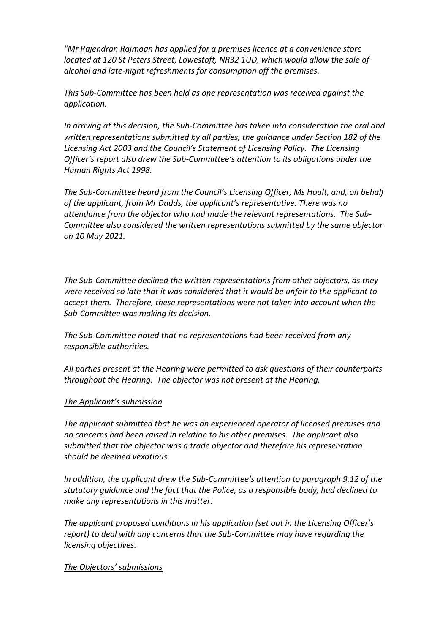*"Mr Rajendran Rajmoan has applied for a premises licence at a convenience store located at 120 St Peters Street, Lowestoft, NR32 1UD, which would allow the sale of alcohol and late‐night refreshments for consumption off the premises.*

*This Sub‐Committee has been held as one representation was received against the application.*

*In arriving at this decision, the Sub‐Committee has taken into consideration the oral and written representations submitted by all parties, the guidance under Section 182 of the Licensing Act 2003 and the Council's Statement of Licensing Policy. The Licensing Officer's report also drew the Sub‐Committee's attention to its obligations under the Human Rights Act 1998.*

*The Sub‐Committee heard from the Council's Licensing Officer, Ms Hoult, and, on behalf of the applicant, from Mr Dadds, the applicant's representative. There was no attendance from the objector who had made the relevant representations. The Sub‐ Committee also considered the written representations submitted by the same objector on 10 May 2021.*

*The Sub‐Committee declined the written representations from other objectors, as they were received so late that it was considered that it would be unfair to the applicant to accept them. Therefore, these representations were not taken into account when the Sub‐Committee was making its decision.*

*The Sub‐Committee noted that no representations had been received from any responsible authorities.*

*All parties present at the Hearing were permitted to ask questions of their counterparts throughout the Hearing. The objector was not present at the Hearing.*

## *The Applicant's submission*

*The applicant submitted that he was an experienced operator of licensed premises and no concerns had been raised in relation to his other premises. The applicant also submitted that the objector was a trade objector and therefore his representation should be deemed vexatious.*

*In addition, the applicant drew the Sub‐Committee's attention to paragraph 9.12 of the statutory guidance and the fact that the Police, as a responsible body, had declined to make any representations in this matter.*

*The applicant proposed conditions in his application (set out in the Licensing Officer's report) to deal with any concerns that the Sub‐Committee may have regarding the licensing objectives.*

#### *The Objectors' submissions*